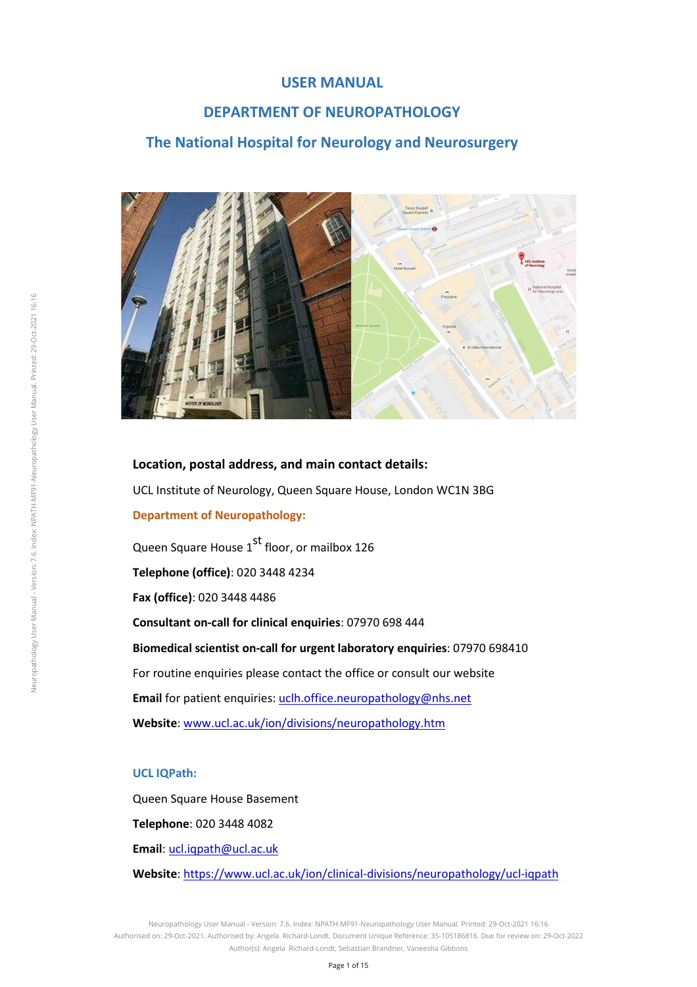### **USER MANUAL**

### **DEPARTMENT OF NEUROPATHOLOGY**

### **The National Hospital for Neurology and Neurosurgery**



**Location, postal address, and main contact details:**  UCL Institute of Neurology, Queen Square House, London WC1N 3BG **Department of Neuropathology:**  Queen Square House 1<sup>st</sup> floor, or mailbox 126 **Telephone (office)**: 020 3448 4234 **Fax (office)**: 020 3448 4486 **Consultant on-call for clinical enquiries**: 07970 698 444

**Biomedical scientist on-call for urgent laboratory enquiries**: 07970 698410 For routine enquiries please contact the office or consult our website **Email** for patient enquiries: uclh.office.neuropathology@nhs.net **Website**: www.ucl.ac.uk/ion/divisions/neuropathology.htm

#### **UCL IQPath:**

Queen Square House Basement

**Telephone**: 020 3448 4082

**Email**: ucl.iqpath@ucl.ac.uk

**Website**: https://www.ucl.ac.uk/ion/clinical-divisions/neuropathology/ucl-iqpath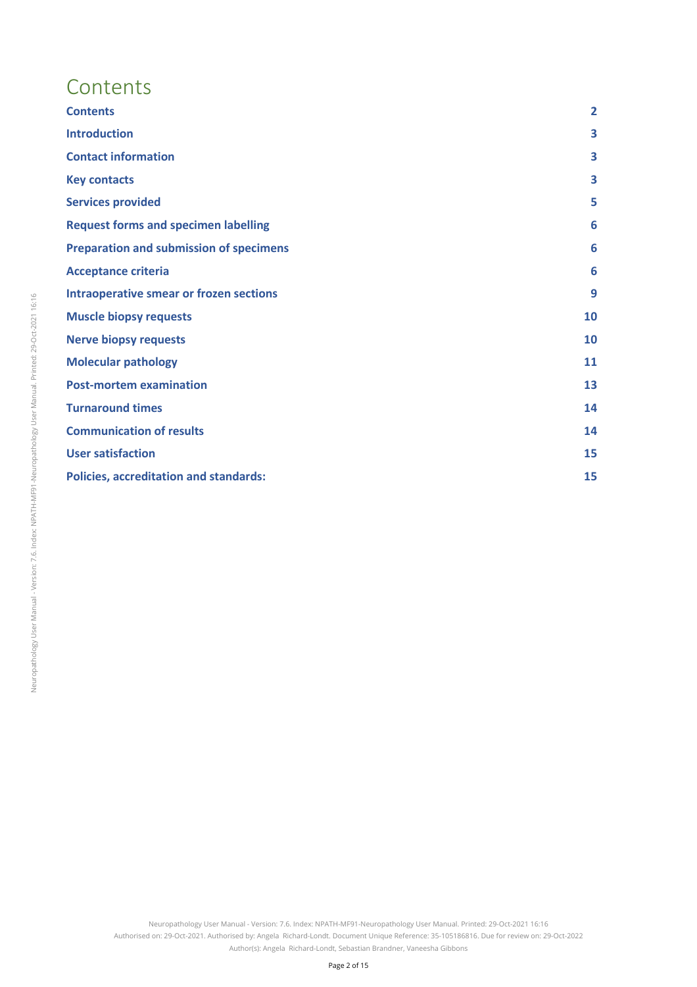# **Contents**

| <b>Contents</b>                                | $\overline{2}$ |
|------------------------------------------------|----------------|
| <b>Introduction</b>                            | 3              |
| <b>Contact information</b>                     | 3              |
| <b>Key contacts</b>                            | 3              |
| <b>Services provided</b>                       | 5              |
| <b>Request forms and specimen labelling</b>    | 6              |
| <b>Preparation and submission of specimens</b> | 6              |
| <b>Acceptance criteria</b>                     | 6              |
| <b>Intraoperative smear or frozen sections</b> | 9              |
| <b>Muscle biopsy requests</b>                  | 10             |
| <b>Nerve biopsy requests</b>                   | 10             |
| <b>Molecular pathology</b>                     | 11             |
| <b>Post-mortem examination</b>                 | 13             |
| <b>Turnaround times</b>                        | 14             |
| <b>Communication of results</b>                | 14             |
| <b>User satisfaction</b>                       | 15             |
| <b>Policies, accreditation and standards:</b>  | 15             |
|                                                |                |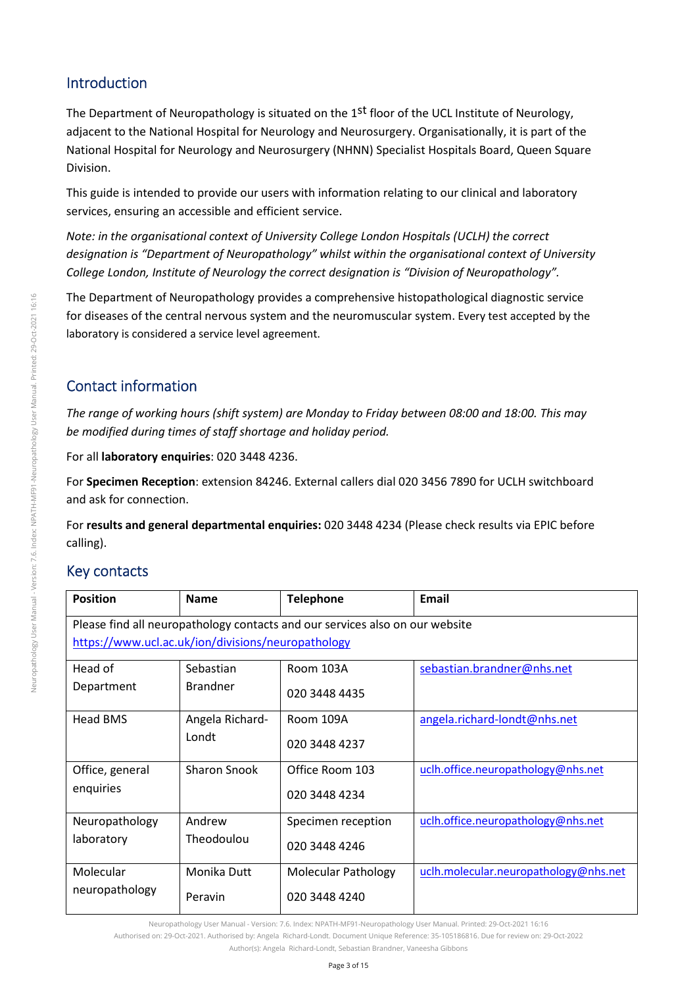# Introduction

The Department of Neuropathology is situated on the 1<sup>st</sup> floor of the UCL Institute of Neurology, adjacent to the National Hospital for Neurology and Neurosurgery. Organisationally, it is part of the National Hospital for Neurology and Neurosurgery (NHNN) Specialist Hospitals Board, Queen Square Division.

This guide is intended to provide our users with information relating to our clinical and laboratory services, ensuring an accessible and efficient service.

*Note: in the organisational context of University College London Hospitals (UCLH) the correct designation is "Department of Neuropathology" whilst within the organisational context of University College London, Institute of Neurology the correct designation is "Division of Neuropathology".* 

The Department of Neuropathology provides a comprehensive histopathological diagnostic service for diseases of the central nervous system and the neuromuscular system. Every test accepted by the laboratory is considered a service level agreement.

# Contact information

*The range of working hours (shift system) are Monday to Friday between 08:00 and 18:00. This may be modified during times of staff shortage and holiday period.* 

For all **laboratory enquiries**: 020 3448 4236.

For **Specimen Reception**: extension 84246. External callers dial 020 3456 7890 for UCLH switchboard and ask for connection.

For **results and general departmental enquiries:** 020 3448 4234 (Please check results via EPIC before calling).

# Key contacts

| <b>Position</b>                                    | <b>Name</b>     | <b>Telephone</b>                                                             | <b>Email</b>                          |
|----------------------------------------------------|-----------------|------------------------------------------------------------------------------|---------------------------------------|
|                                                    |                 | Please find all neuropathology contacts and our services also on our website |                                       |
| https://www.ucl.ac.uk/ion/divisions/neuropathology |                 |                                                                              |                                       |
| Head of                                            | Sebastian       | Room 103A                                                                    | sebastian.brandner@nhs.net            |
| Department                                         | <b>Brandner</b> | 020 3448 4435                                                                |                                       |
| Head BMS                                           | Angela Richard- | Room 109A                                                                    | angela.richard-londt@nhs.net          |
|                                                    | Londt           | 020 3448 4237                                                                |                                       |
| Office, general                                    | Sharon Snook    | Office Room 103                                                              | uclh.office.neuropathology@nhs.net    |
| enquiries                                          |                 | 020 3448 4234                                                                |                                       |
| Neuropathology                                     | Andrew          | Specimen reception                                                           | uclh.office.neuropathology@nhs.net    |
| laboratory                                         | Theodoulou      | 020 3448 4246                                                                |                                       |
| Molecular                                          | Monika Dutt     | <b>Molecular Pathology</b>                                                   | uclh.molecular.neuropathology@nhs.net |
| neuropathology                                     | Peravin         | 020 3448 4240                                                                |                                       |

Neuropathology User Manual - Version: 7.6. Index: NPATH-MF91-Neuropathology User Manual. Printed: 29-Oct-2021 16:16

Authorised on: 29-Oct-2021. Authorised by: Angela Richard-Londt. Document Unique Reference: 35-105186816. Due for review on: 29-Oct-2022

Author(s): Angela, Richard-Londt, Sebastian Brandner, Vaneesha Gibbons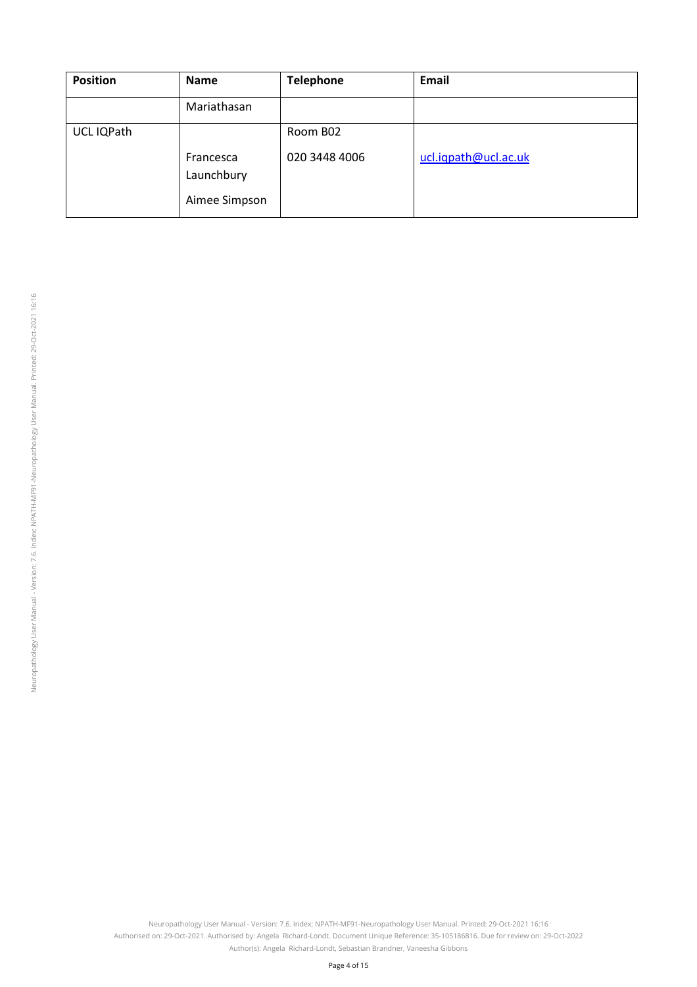| <b>Position</b> | <b>Name</b>                              | <b>Telephone</b> | Email                |
|-----------------|------------------------------------------|------------------|----------------------|
|                 | Mariathasan                              |                  |                      |
| UCL IQPath      |                                          | Room B02         |                      |
|                 | Francesca<br>Launchbury<br>Aimee Simpson | 020 3448 4006    | ucl.iqpath@ucl.ac.uk |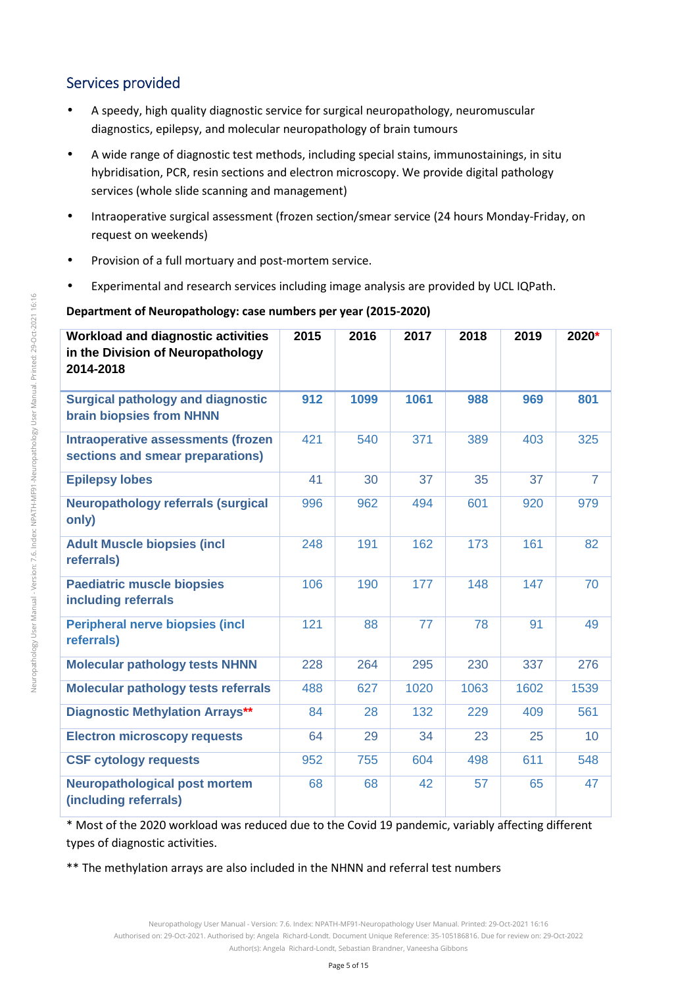# Services provided

- A speedy, high quality diagnostic service for surgical neuropathology, neuromuscular diagnostics, epilepsy, and molecular neuropathology of brain tumours
- A wide range of diagnostic test methods, including special stains, immunostainings, in situ hybridisation, PCR, resin sections and electron microscopy. We provide digital pathology services (whole slide scanning and management)
- Intraoperative surgical assessment (frozen section/smear service (24 hours Monday-Friday, on request on weekends)
- Provision of a full mortuary and post-mortem service.
- Experimental and research services including image analysis are provided by UCL IQPath.

### **Department of Neuropathology: case numbers per year (2015-2020)**

| <b>Workload and diagnostic activities</b><br>in the Division of Neuropathology<br>2014-2018 | 2015 | 2016 | 2017 | 2018 | 2019 | 2020*          |
|---------------------------------------------------------------------------------------------|------|------|------|------|------|----------------|
| <b>Surgical pathology and diagnostic</b><br>brain biopsies from NHNN                        | 912  | 1099 | 1061 | 988  | 969  | 801            |
| <b>Intraoperative assessments (frozen</b><br>sections and smear preparations)               | 421  | 540  | 371  | 389  | 403  | 325            |
| <b>Epilepsy lobes</b>                                                                       | 41   | 30   | 37   | 35   | 37   | $\overline{7}$ |
| <b>Neuropathology referrals (surgical</b><br>only)                                          | 996  | 962  | 494  | 601  | 920  | 979            |
| <b>Adult Muscle biopsies (incl.</b><br>referrals)                                           | 248  | 191  | 162  | 173  | 161  | 82             |
| <b>Paediatric muscle biopsies</b><br>including referrals                                    | 106  | 190  | 177  | 148  | 147  | 70             |
| <b>Peripheral nerve biopsies (incl</b><br>referrals)                                        | 121  | 88   | 77   | 78   | 91   | 49             |
| <b>Molecular pathology tests NHNN</b>                                                       | 228  | 264  | 295  | 230  | 337  | 276            |
| Molecular pathology tests referrals                                                         | 488  | 627  | 1020 | 1063 | 1602 | 1539           |
| <b>Diagnostic Methylation Arrays**</b>                                                      | 84   | 28   | 132  | 229  | 409  | 561            |
| <b>Electron microscopy requests</b>                                                         | 64   | 29   | 34   | 23   | 25   | 10             |
| <b>CSF cytology requests</b>                                                                | 952  | 755  | 604  | 498  | 611  | 548            |
| <b>Neuropathological post mortem</b><br>(including referrals)                               | 68   | 68   | 42   | 57   | 65   | 47             |

\* Most of the 2020 workload was reduced due to the Covid 19 pandemic, variably affecting different types of diagnostic activities.

\*\* The methylation arrays are also included in the NHNN and referral test numbers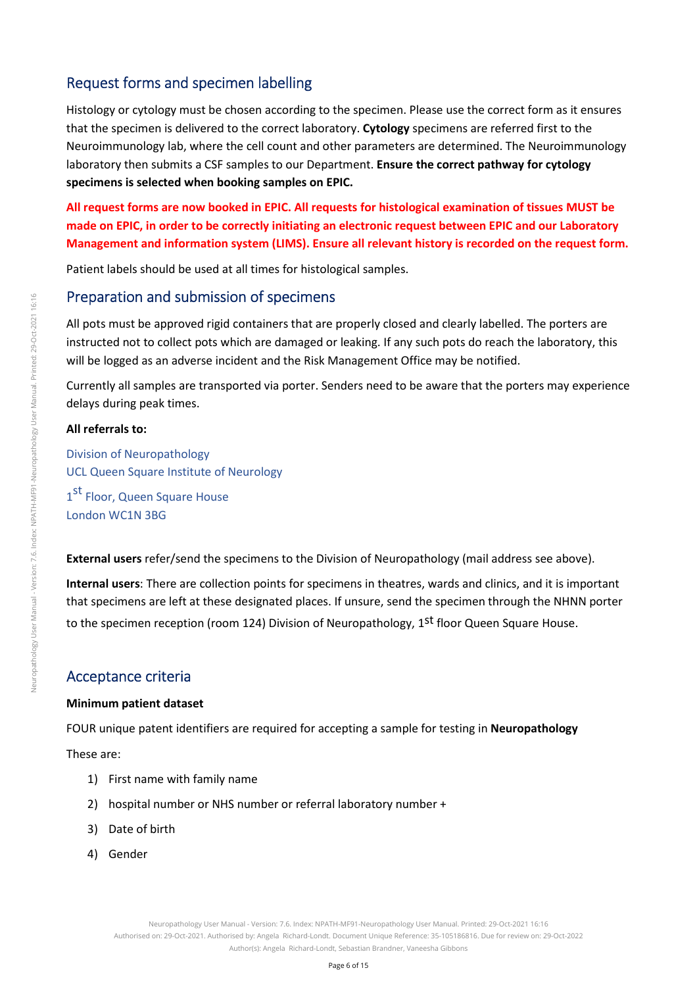# Request forms and specimen labelling

Histology or cytology must be chosen according to the specimen. Please use the correct form as it ensures that the specimen is delivered to the correct laboratory. **Cytology** specimens are referred first to the Neuroimmunology lab, where the cell count and other parameters are determined. The Neuroimmunology laboratory then submits a CSF samples to our Department. **Ensure the correct pathway for cytology specimens is selected when booking samples on EPIC.** 

**All request forms are now booked in EPIC. All requests for histological examination of tissues MUST be made on EPIC, in order to be correctly initiating an electronic request between EPIC and our Laboratory Management and information system (LIMS). Ensure all relevant history is recorded on the request form.** 

Patient labels should be used at all times for histological samples.

### Preparation and submission of specimens

All pots must be approved rigid containers that are properly closed and clearly labelled. The porters are instructed not to collect pots which are damaged or leaking. If any such pots do reach the laboratory, this will be logged as an adverse incident and the Risk Management Office may be notified.

Currently all samples are transported via porter. Senders need to be aware that the porters may experience delays during peak times.

#### **All referrals to:**

Division of Neuropathology UCL Queen Square Institute of Neurology 1<sup>st</sup> Floor, Queen Square House London WC1N 3BG

**External users** refer/send the specimens to the Division of Neuropathology (mail address see above).

**Internal users**: There are collection points for specimens in theatres, wards and clinics, and it is important that specimens are left at these designated places. If unsure, send the specimen through the NHNN porter to the specimen reception (room 124) Division of Neuropathology, 1st floor Queen Square House.

## Acceptance criteria

#### **Minimum patient dataset**

FOUR unique patent identifiers are required for accepting a sample for testing in **Neuropathology** 

These are:

- 1) First name with family name
- 2) hospital number or NHS number or referral laboratory number +
- 3) Date of birth
- 4) Gender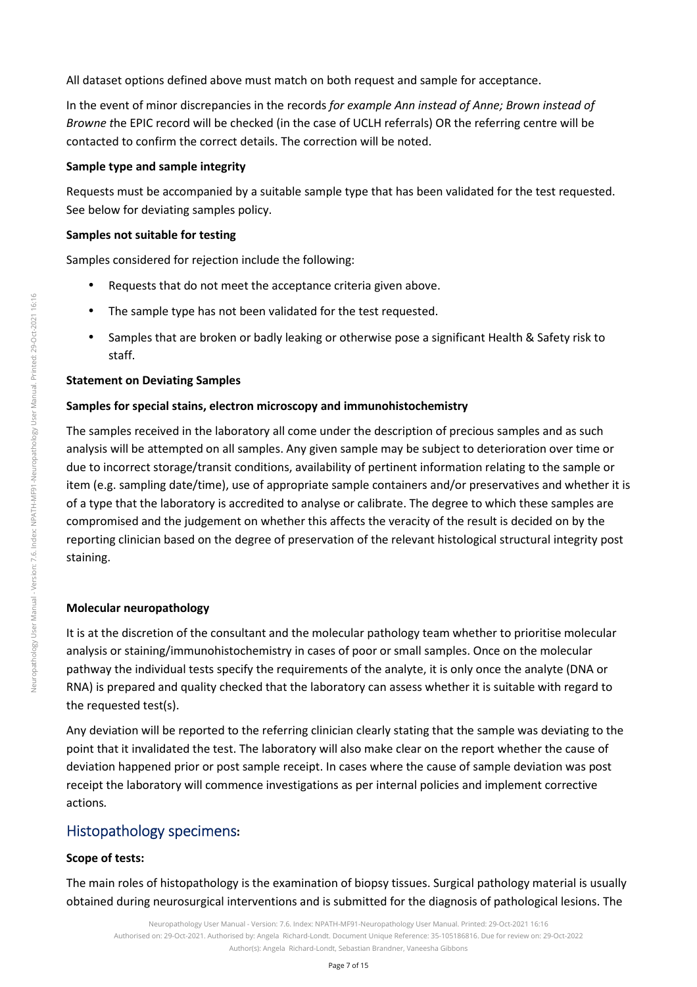All dataset options defined above must match on both request and sample for acceptance.

In the event of minor discrepancies in the records *for example Ann instead of Anne; Brown instead of Browne t*he EPIC record will be checked (in the case of UCLH referrals) OR the referring centre will be contacted to confirm the correct details. The correction will be noted.

#### **Sample type and sample integrity**

Requests must be accompanied by a suitable sample type that has been validated for the test requested. See below for deviating samples policy.

#### **Samples not suitable for testing**

Samples considered for rejection include the following:

- Requests that do not meet the acceptance criteria given above.
- The sample type has not been validated for the test requested.
- Samples that are broken or badly leaking or otherwise pose a significant Health & Safety risk to staff.

#### **Statement on Deviating Samples**

#### **Samples for special stains, electron microscopy and immunohistochemistry**

The samples received in the laboratory all come under the description of precious samples and as such analysis will be attempted on all samples. Any given sample may be subject to deterioration over time or due to incorrect storage/transit conditions, availability of pertinent information relating to the sample or item (e.g. sampling date/time), use of appropriate sample containers and/or preservatives and whether it is of a type that the laboratory is accredited to analyse or calibrate. The degree to which these samples are compromised and the judgement on whether this affects the veracity of the result is decided on by the reporting clinician based on the degree of preservation of the relevant histological structural integrity post staining.

#### **Molecular neuropathology**

It is at the discretion of the consultant and the molecular pathology team whether to prioritise molecular analysis or staining/immunohistochemistry in cases of poor or small samples. Once on the molecular pathway the individual tests specify the requirements of the analyte, it is only once the analyte (DNA or RNA) is prepared and quality checked that the laboratory can assess whether it is suitable with regard to the requested test(s).

Any deviation will be reported to the referring clinician clearly stating that the sample was deviating to the point that it invalidated the test. The laboratory will also make clear on the report whether the cause of deviation happened prior or post sample receipt. In cases where the cause of sample deviation was post receipt the laboratory will commence investigations as per internal policies and implement corrective actions*.* 

## Histopathology specimens**:**

#### **Scope of tests:**

The main roles of histopathology is the examination of biopsy tissues. Surgical pathology material is usually obtained during neurosurgical interventions and is submitted for the diagnosis of pathological lesions. The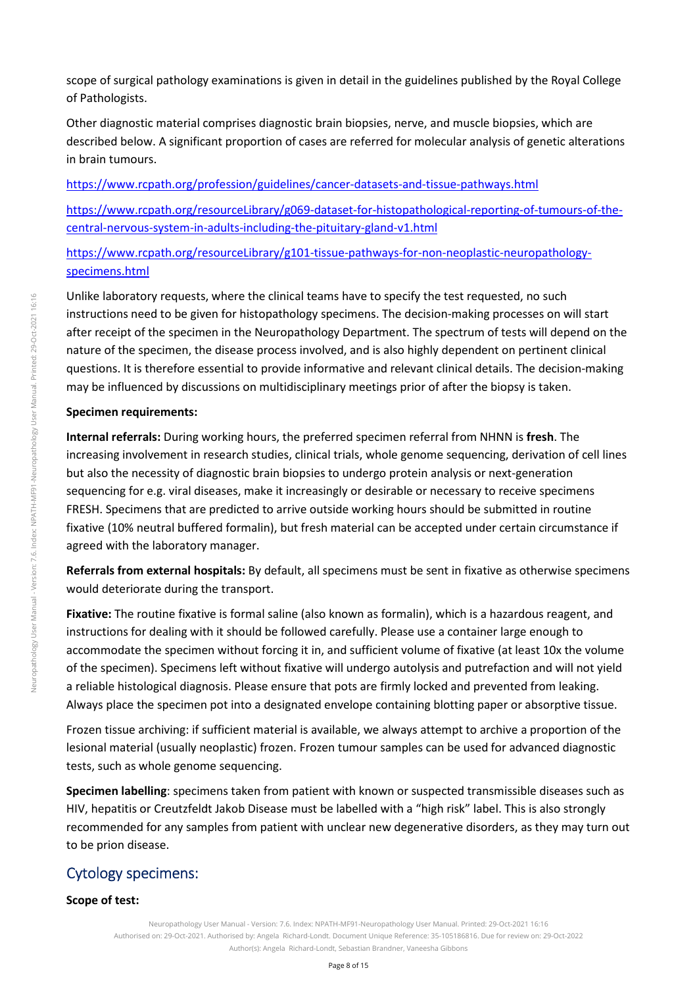scope of surgical pathology examinations is given in detail in the guidelines published by the Royal College of Pathologists.

Other diagnostic material comprises diagnostic brain biopsies, nerve, and muscle biopsies, which are described below. A significant proportion of cases are referred for molecular analysis of genetic alterations in brain tumours.

https://www.rcpath.org/profession/guidelines/cancer-datasets-and-tissue-pathways.html

https://www.rcpath.org/resourceLibrary/g069-dataset-for-histopathological-reporting-of-tumours-of-thecentral-nervous-system-in-adults-including-the-pituitary-gland-v1.html

https://www.rcpath.org/resourceLibrary/g101-tissue-pathways-for-non-neoplastic-neuropathologyspecimens.html

Unlike laboratory requests, where the clinical teams have to specify the test requested, no such instructions need to be given for histopathology specimens. The decision-making processes on will start after receipt of the specimen in the Neuropathology Department. The spectrum of tests will depend on the nature of the specimen, the disease process involved, and is also highly dependent on pertinent clinical questions. It is therefore essential to provide informative and relevant clinical details. The decision-making may be influenced by discussions on multidisciplinary meetings prior of after the biopsy is taken.

#### **Specimen requirements:**

**Internal referrals:** During working hours, the preferred specimen referral from NHNN is **fresh**. The increasing involvement in research studies, clinical trials, whole genome sequencing, derivation of cell lines but also the necessity of diagnostic brain biopsies to undergo protein analysis or next-generation sequencing for e.g. viral diseases, make it increasingly or desirable or necessary to receive specimens FRESH. Specimens that are predicted to arrive outside working hours should be submitted in routine fixative (10% neutral buffered formalin), but fresh material can be accepted under certain circumstance if agreed with the laboratory manager.

**Referrals from external hospitals:** By default, all specimens must be sent in fixative as otherwise specimens would deteriorate during the transport.

**Fixative:** The routine fixative is formal saline (also known as formalin), which is a hazardous reagent, and instructions for dealing with it should be followed carefully. Please use a container large enough to accommodate the specimen without forcing it in, and sufficient volume of fixative (at least 10x the volume of the specimen). Specimens left without fixative will undergo autolysis and putrefaction and will not yield a reliable histological diagnosis. Please ensure that pots are firmly locked and prevented from leaking. Always place the specimen pot into a designated envelope containing blotting paper or absorptive tissue.

Frozen tissue archiving: if sufficient material is available, we always attempt to archive a proportion of the lesional material (usually neoplastic) frozen. Frozen tumour samples can be used for advanced diagnostic tests, such as whole genome sequencing.

**Specimen labelling**: specimens taken from patient with known or suspected transmissible diseases such as HIV, hepatitis or Creutzfeldt Jakob Disease must be labelled with a "high risk" label. This is also strongly recommended for any samples from patient with unclear new degenerative disorders, as they may turn out to be prion disease.

# Cytology specimens:

#### **Scope of test:**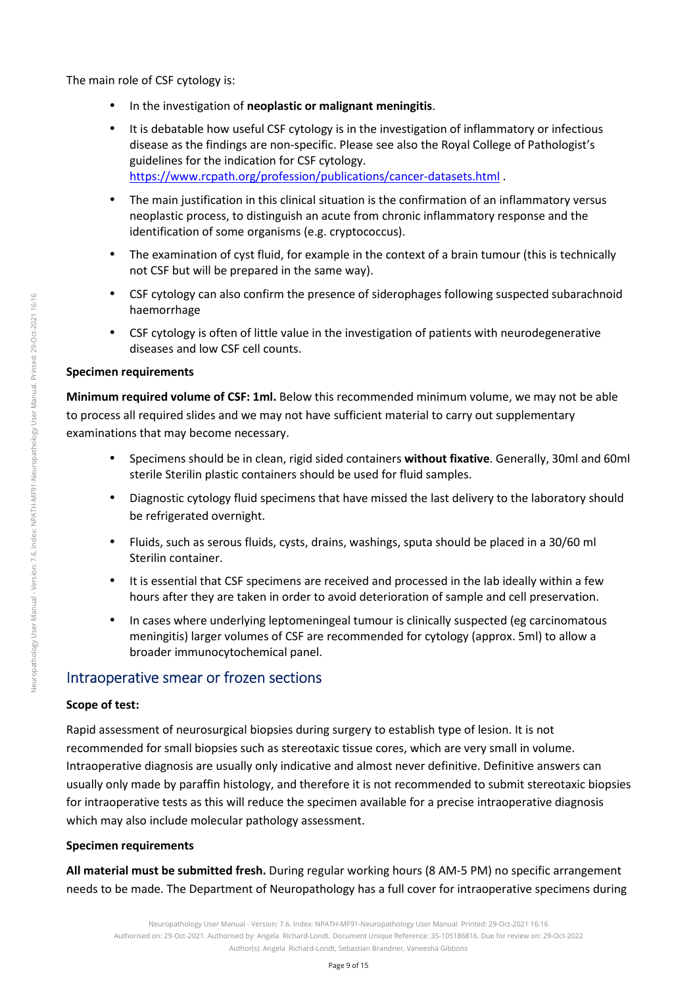- In the investigation of **neoplastic or malignant meningitis**.
- It is debatable how useful CSF cytology is in the investigation of inflammatory or infectious disease as the findings are non-specific. Please see also the Royal College of Pathologist's guidelines for the indication for CSF cytology. https://www.rcpath.org/profession/publications/cancer-datasets.html .
- The main justification in this clinical situation is the confirmation of an inflammatory versus neoplastic process, to distinguish an acute from chronic inflammatory response and the identification of some organisms (e.g. cryptococcus).
- The examination of cyst fluid, for example in the context of a brain tumour (this is technically not CSF but will be prepared in the same way).
- CSF cytology can also confirm the presence of siderophages following suspected subarachnoid haemorrhage
- CSF cytology is often of little value in the investigation of patients with neurodegenerative diseases and low CSF cell counts.

### **Specimen requirements**

**Minimum required volume of CSF: 1ml.** Below this recommended minimum volume, we may not be able to process all required slides and we may not have sufficient material to carry out supplementary examinations that may become necessary.

- Specimens should be in clean, rigid sided containers **without fixative**. Generally, 30ml and 60ml sterile Sterilin plastic containers should be used for fluid samples.
- Diagnostic cytology fluid specimens that have missed the last delivery to the laboratory should be refrigerated overnight.
- Fluids, such as serous fluids, cysts, drains, washings, sputa should be placed in a 30/60 ml Sterilin container.
- It is essential that CSF specimens are received and processed in the lab ideally within a few hours after they are taken in order to avoid deterioration of sample and cell preservation.
- In cases where underlying leptomeningeal tumour is clinically suspected (eg carcinomatous meningitis) larger volumes of CSF are recommended for cytology (approx. 5ml) to allow a broader immunocytochemical panel.

## Intraoperative smear or frozen sections

### **Scope of test:**

Rapid assessment of neurosurgical biopsies during surgery to establish type of lesion. It is not recommended for small biopsies such as stereotaxic tissue cores, which are very small in volume. Intraoperative diagnosis are usually only indicative and almost never definitive. Definitive answers can usually only made by paraffin histology, and therefore it is not recommended to submit stereotaxic biopsies for intraoperative tests as this will reduce the specimen available for a precise intraoperative diagnosis which may also include molecular pathology assessment.

### **Specimen requirements**

**All material must be submitted fresh.** During regular working hours (8 AM-5 PM) no specific arrangement needs to be made. The Department of Neuropathology has a full cover for intraoperative specimens during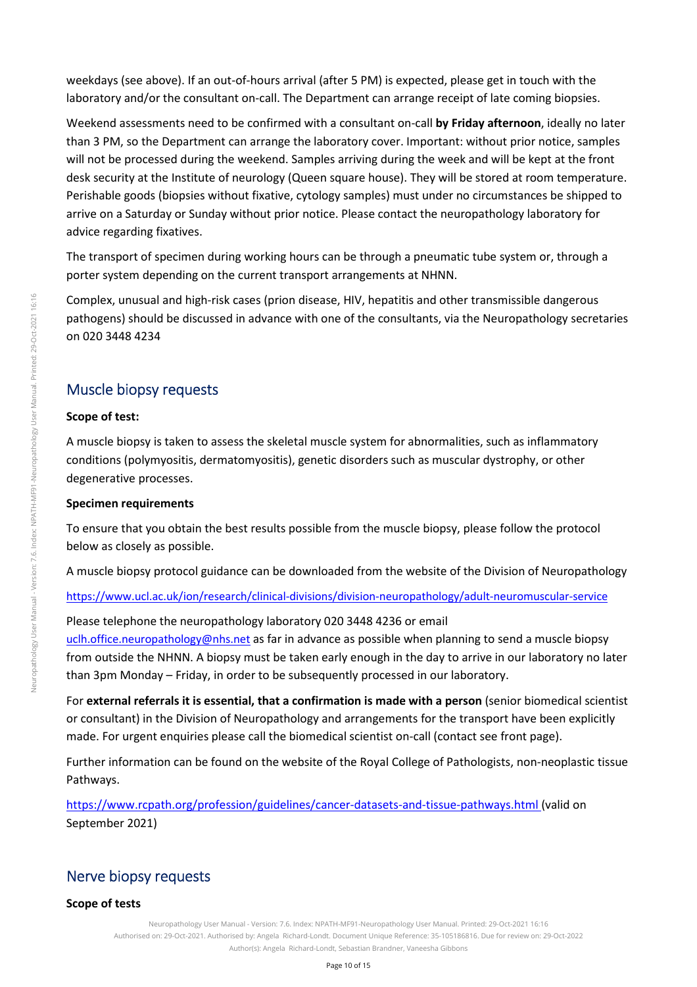weekdays (see above). If an out-of-hours arrival (after 5 PM) is expected, please get in touch with the laboratory and/or the consultant on-call. The Department can arrange receipt of late coming biopsies.

Weekend assessments need to be confirmed with a consultant on-call **by Friday afternoon**, ideally no later than 3 PM, so the Department can arrange the laboratory cover. Important: without prior notice, samples will not be processed during the weekend. Samples arriving during the week and will be kept at the front desk security at the Institute of neurology (Queen square house). They will be stored at room temperature. Perishable goods (biopsies without fixative, cytology samples) must under no circumstances be shipped to arrive on a Saturday or Sunday without prior notice. Please contact the neuropathology laboratory for advice regarding fixatives.

The transport of specimen during working hours can be through a pneumatic tube system or, through a porter system depending on the current transport arrangements at NHNN.

Complex, unusual and high-risk cases (prion disease, HIV, hepatitis and other transmissible dangerous pathogens) should be discussed in advance with one of the consultants, via the Neuropathology secretaries on 020 3448 4234

### Muscle biopsy requests

#### **Scope of test:**

A muscle biopsy is taken to assess the skeletal muscle system for abnormalities, such as inflammatory conditions (polymyositis, dermatomyositis), genetic disorders such as muscular dystrophy, or other degenerative processes.

#### **Specimen requirements**

To ensure that you obtain the best results possible from the muscle biopsy, please follow the protocol below as closely as possible.

A muscle biopsy protocol guidance can be downloaded from the website of the Division of Neuropathology

https://www.ucl.ac.uk/ion/research/clinical-divisions/division-neuropathology/adult-neuromuscular-service

Please telephone the neuropathology laboratory 020 3448 4236 or email

uclh.office.neuropathology@nhs.net as far in advance as possible when planning to send a muscle biopsy from outside the NHNN. A biopsy must be taken early enough in the day to arrive in our laboratory no later than 3pm Monday – Friday, in order to be subsequently processed in our laboratory.

For **external referrals it is essential, that a confirmation is made with a person** (senior biomedical scientist or consultant) in the Division of Neuropathology and arrangements for the transport have been explicitly made. For urgent enquiries please call the biomedical scientist on-call (contact see front page).

Further information can be found on the website of the Royal College of Pathologists, non-neoplastic tissue Pathways.

https://www.rcpath.org/profession/guidelines/cancer-datasets-and-tissue-pathways.html (valid on September 2021)

## Nerve biopsy requests

### **Scope of tests**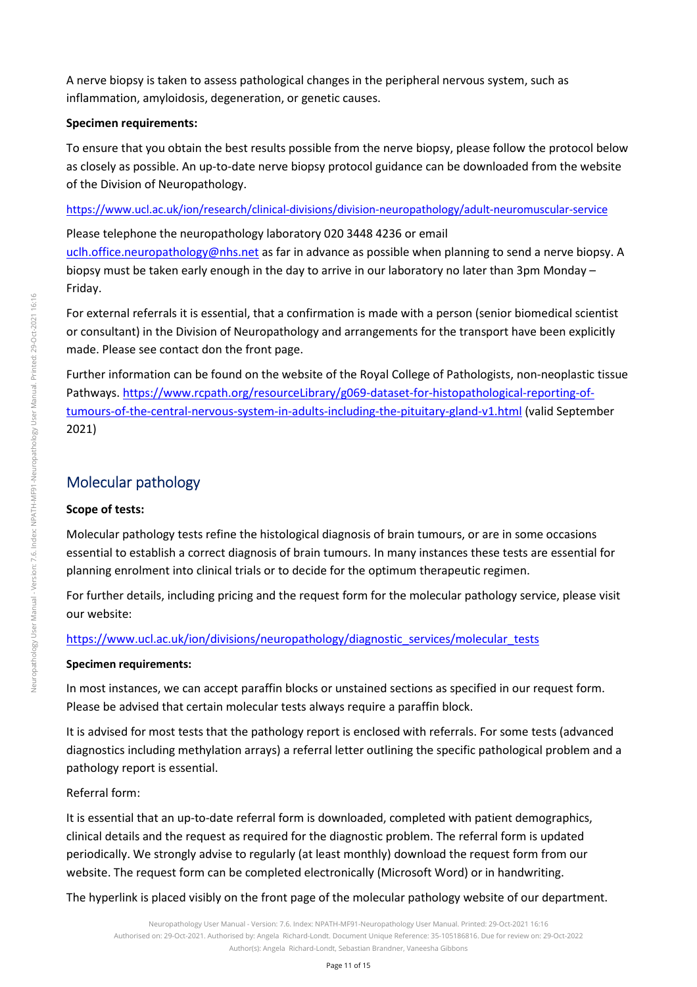A nerve biopsy is taken to assess pathological changes in the peripheral nervous system, such as inflammation, amyloidosis, degeneration, or genetic causes.

#### **Specimen requirements:**

To ensure that you obtain the best results possible from the nerve biopsy, please follow the protocol below as closely as possible. An up-to-date nerve biopsy protocol guidance can be downloaded from the website of the Division of Neuropathology.

https://www.ucl.ac.uk/ion/research/clinical-divisions/division-neuropathology/adult-neuromuscular-service

Please telephone the neuropathology laboratory 020 3448 4236 or email uclh.office.neuropathology@nhs.net as far in advance as possible when planning to send a nerve biopsy. A biopsy must be taken early enough in the day to arrive in our laboratory no later than 3pm Monday – Friday.

For external referrals it is essential, that a confirmation is made with a person (senior biomedical scientist or consultant) in the Division of Neuropathology and arrangements for the transport have been explicitly made. Please see contact don the front page.

Further information can be found on the website of the Royal College of Pathologists, non-neoplastic tissue Pathways. https://www.rcpath.org/resourceLibrary/g069-dataset-for-histopathological-reporting-oftumours-of-the-central-nervous-system-in-adults-including-the-pituitary-gland-v1.html (valid September 2021)

# Molecular pathology

### **Scope of tests:**

Molecular pathology tests refine the histological diagnosis of brain tumours, or are in some occasions essential to establish a correct diagnosis of brain tumours. In many instances these tests are essential for planning enrolment into clinical trials or to decide for the optimum therapeutic regimen.

For further details, including pricing and the request form for the molecular pathology service, please visit our website:

### https://www.ucl.ac.uk/ion/divisions/neuropathology/diagnostic\_services/molecular\_tests

### **Specimen requirements:**

In most instances, we can accept paraffin blocks or unstained sections as specified in our request form. Please be advised that certain molecular tests always require a paraffin block.

It is advised for most tests that the pathology report is enclosed with referrals. For some tests (advanced diagnostics including methylation arrays) a referral letter outlining the specific pathological problem and a pathology report is essential.

### Referral form:

It is essential that an up-to-date referral form is downloaded, completed with patient demographics, clinical details and the request as required for the diagnostic problem. The referral form is updated periodically. We strongly advise to regularly (at least monthly) download the request form from our website. The request form can be completed electronically (Microsoft Word) or in handwriting.

The hyperlink is placed visibly on the front page of the molecular pathology website of our department.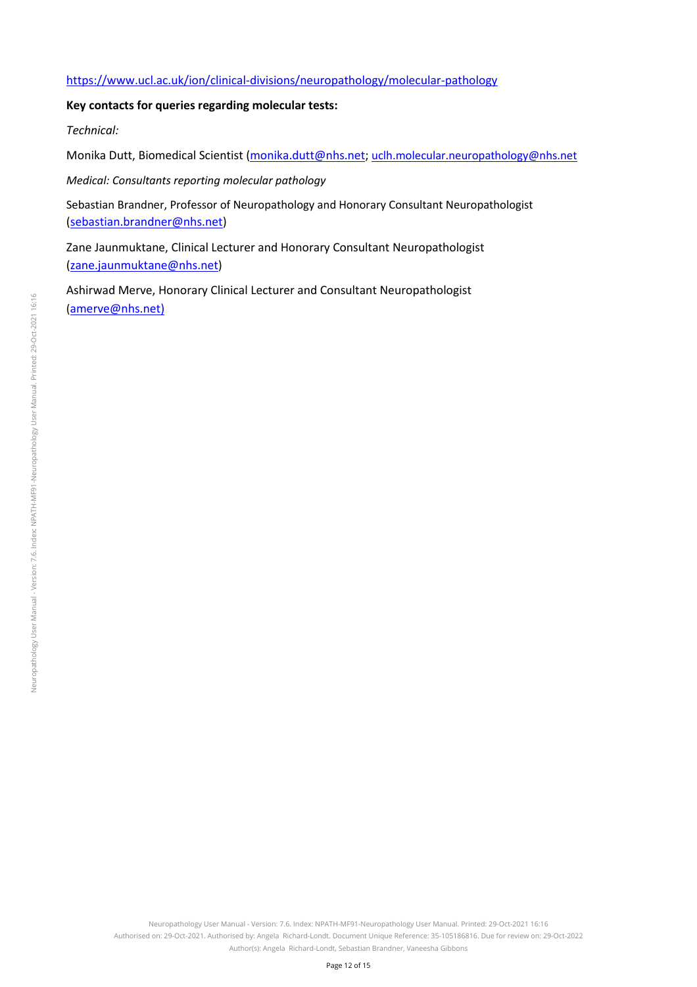#### https://www.ucl.ac.uk/ion/clinical-divisions/neuropathology/molecular-pathology

#### **Key contacts for queries regarding molecular tests:**

*Technical:* 

Monika Dutt, Biomedical Scientist (monika.dutt@nhs.net; uclh.molecular.neuropathology@nhs.net

*Medical: Consultants reporting molecular pathology* 

Sebastian Brandner, Professor of Neuropathology and Honorary Consultant Neuropathologist (sebastian.brandner@nhs.net)

Zane Jaunmuktane, Clinical Lecturer and Honorary Consultant Neuropathologist (zane.jaunmuktane@nhs.net)

Ashirwad Merve, Honorary Clinical Lecturer and Consultant Neuropathologist (amerve@nhs.net)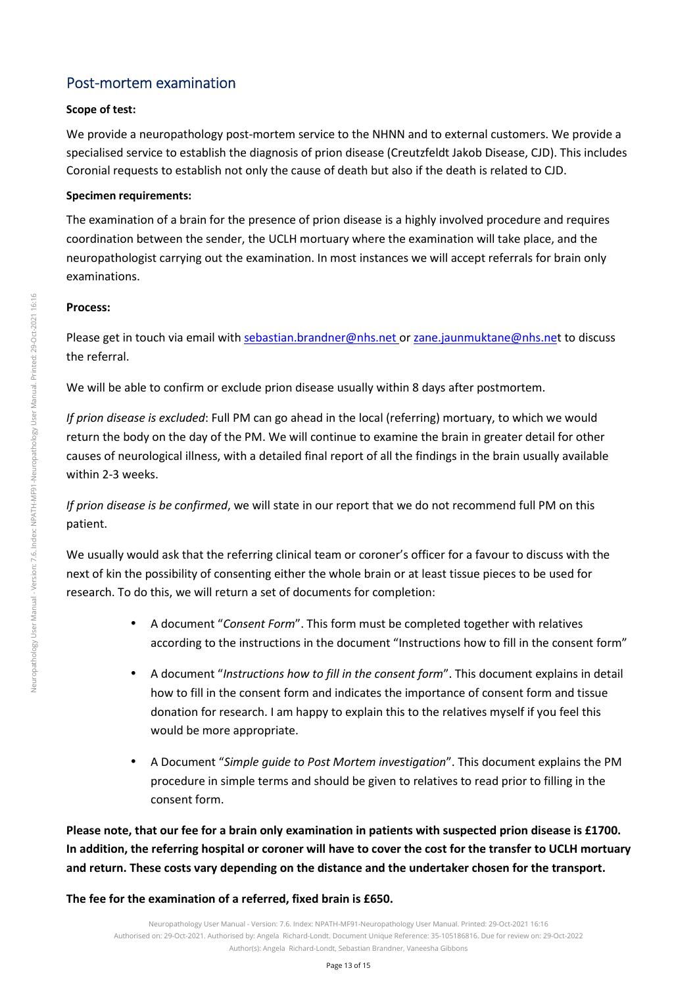## Post-mortem examination

#### **Scope of test:**

We provide a neuropathology post-mortem service to the NHNN and to external customers. We provide a specialised service to establish the diagnosis of prion disease (Creutzfeldt Jakob Disease, CJD). This includes Coronial requests to establish not only the cause of death but also if the death is related to CJD.

#### **Specimen requirements:**

The examination of a brain for the presence of prion disease is a highly involved procedure and requires coordination between the sender, the UCLH mortuary where the examination will take place, and the neuropathologist carrying out the examination. In most instances we will accept referrals for brain only examinations.

#### **Process:**

Please get in touch via email with sebastian.brandner@nhs.net or zane.jaunmuktane@nhs.net to discuss the referral.

We will be able to confirm or exclude prion disease usually within 8 days after postmortem.

*If prion disease is excluded*: Full PM can go ahead in the local (referring) mortuary, to which we would return the body on the day of the PM. We will continue to examine the brain in greater detail for other causes of neurological illness, with a detailed final report of all the findings in the brain usually available within 2-3 weeks.

*If prion disease is be confirmed*, we will state in our report that we do not recommend full PM on this patient.

We usually would ask that the referring clinical team or coroner's officer for a favour to discuss with the next of kin the possibility of consenting either the whole brain or at least tissue pieces to be used for research. To do this, we will return a set of documents for completion:

- A document "*Consent Form*". This form must be completed together with relatives according to the instructions in the document "Instructions how to fill in the consent form"
- A document "*Instructions how to fill in the consent form*". This document explains in detail how to fill in the consent form and indicates the importance of consent form and tissue donation for research. I am happy to explain this to the relatives myself if you feel this would be more appropriate.
- A Document "*Simple guide to Post Mortem investigation*". This document explains the PM procedure in simple terms and should be given to relatives to read prior to filling in the consent form.

**Please note, that our fee for a brain only examination in patients with suspected prion disease is £1700. In addition, the referring hospital or coroner will have to cover the cost for the transfer to UCLH mortuary and return. These costs vary depending on the distance and the undertaker chosen for the transport.** 

**The fee for the examination of a referred, fixed brain is £650.**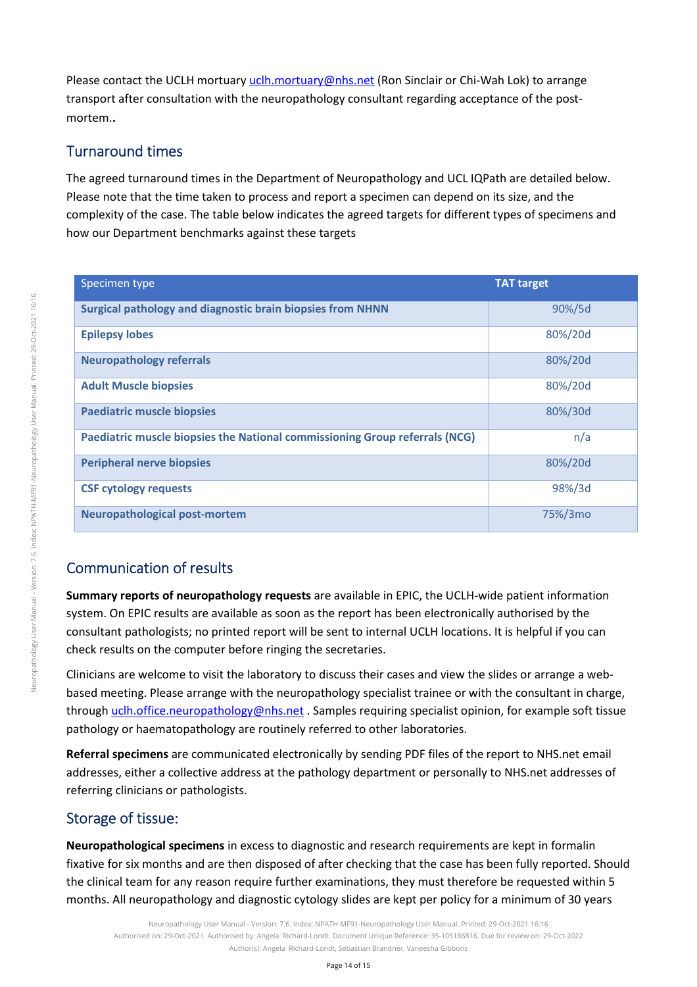Please contact the UCLH mortuary uclh.mortuary@nhs.net (Ron Sinclair or Chi-Wah Lok) to arrange transport after consultation with the neuropathology consultant regarding acceptance of the postmortem.**.** 

## Turnaround times

The agreed turnaround times in the Department of Neuropathology and UCL IQPath are detailed below. Please note that the time taken to process and report a specimen can depend on its size, and the complexity of the case. The table below indicates the agreed targets for different types of specimens and how our Department benchmarks against these targets

| Specimen type                                                               | <b>TAT target</b> |
|-----------------------------------------------------------------------------|-------------------|
| <b>Surgical pathology and diagnostic brain biopsies from NHNN</b>           | 90%/5d            |
| <b>Epilepsy lobes</b>                                                       | 80%/20d           |
| <b>Neuropathology referrals</b>                                             | 80%/20d           |
| <b>Adult Muscle biopsies</b>                                                | 80%/20d           |
| <b>Paediatric muscle biopsies</b>                                           | 80%/30d           |
| Paediatric muscle biopsies the National commissioning Group referrals (NCG) | n/a               |
| <b>Peripheral nerve biopsies</b>                                            | 80%/20d           |
| <b>CSF cytology requests</b>                                                | 98%/3d            |
| <b>Neuropathological post-mortem</b>                                        | 75%/3mo           |

# Communication of results

**Summary reports of neuropathology requests** are available in EPIC, the UCLH-wide patient information system. On EPIC results are available as soon as the report has been electronically authorised by the consultant pathologists; no printed report will be sent to internal UCLH locations. It is helpful if you can check results on the computer before ringing the secretaries.

Clinicians are welcome to visit the laboratory to discuss their cases and view the slides or arrange a webbased meeting. Please arrange with the neuropathology specialist trainee or with the consultant in charge, through uclh.office.neuropathology@nhs.net . Samples requiring specialist opinion, for example soft tissue pathology or haematopathology are routinely referred to other laboratories.

**Referral specimens** are communicated electronically by sending PDF files of the report to NHS.net email addresses, either a collective address at the pathology department or personally to NHS.net addresses of referring clinicians or pathologists.

## Storage of tissue:

**Neuropathological specimens** in excess to diagnostic and research requirements are kept in formalin fixative for six months and are then disposed of after checking that the case has been fully reported. Should the clinical team for any reason require further examinations, they must therefore be requested within 5 months. All neuropathology and diagnostic cytology slides are kept per policy for a minimum of 30 years